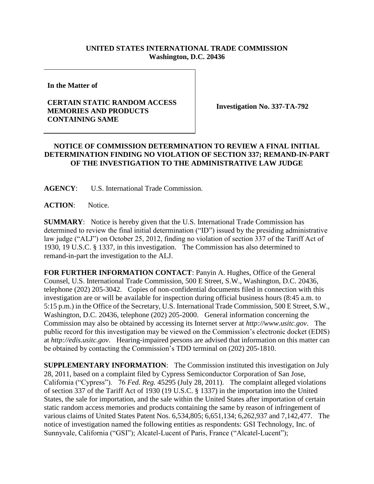## **UNITED STATES INTERNATIONAL TRADE COMMISSION Washington, D.C. 20436**

**In the Matter of** 

## **CERTAIN STATIC RANDOM ACCESS MEMORIES AND PRODUCTS CONTAINING SAME**

**Investigation No. 337-TA-792**

## **NOTICE OF COMMISSION DETERMINATION TO REVIEW A FINAL INITIAL DETERMINATION FINDING NO VIOLATION OF SECTION 337; REMAND-IN-PART OF THE INVESTIGATION TO THE ADMINISTRATIVE LAW JUDGE**

**AGENCY**: U.S. International Trade Commission.

**ACTION**: Notice.

**SUMMARY**: Notice is hereby given that the U.S. International Trade Commission has determined to review the final initial determination ("ID") issued by the presiding administrative law judge ("ALJ") on October 25, 2012, finding no violation of section 337 of the Tariff Act of 1930, 19 U.S.C. § 1337, in this investigation. The Commission has also determined to remand-in-part the investigation to the ALJ.

**FOR FURTHER INFORMATION CONTACT**: Panyin A. Hughes, Office of the General Counsel, U.S. International Trade Commission, 500 E Street, S.W., Washington, D.C. 20436, telephone (202) 205-3042. Copies of non-confidential documents filed in connection with this investigation are or will be available for inspection during official business hours (8:45 a.m. to 5:15 p.m.) in the Office of the Secretary, U.S. International Trade Commission, 500 E Street, S.W., Washington, D.C. 20436, telephone (202) 205-2000. General information concerning the Commission may also be obtained by accessing its Internet server at *http://www.usitc.gov*. The public record for this investigation may be viewed on the Commission's electronic docket (EDIS) at *http://edis.usitc.gov*. Hearing-impaired persons are advised that information on this matter can be obtained by contacting the Commission's TDD terminal on (202) 205-1810.

**SUPPLEMENTARY INFORMATION**: The Commission instituted this investigation on July 28, 2011, based on a complaint filed by Cypress Semiconductor Corporation of San Jose, California ("Cypress"). 76 *Fed. Reg.* 45295 (July 28, 2011). The complaint alleged violations of section 337 of the Tariff Act of 1930 (19 U.S.C. § 1337) in the importation into the United States, the sale for importation, and the sale within the United States after importation of certain static random access memories and products containing the same by reason of infringement of various claims of United States Patent Nos. 6,534,805; 6,651,134; 6,262,937 and 7,142,477. The notice of investigation named the following entities as respondents: GSI Technology, Inc. of Sunnyvale, California ("GSI"); Alcatel-Lucent of Paris, France ("Alcatel-Lucent");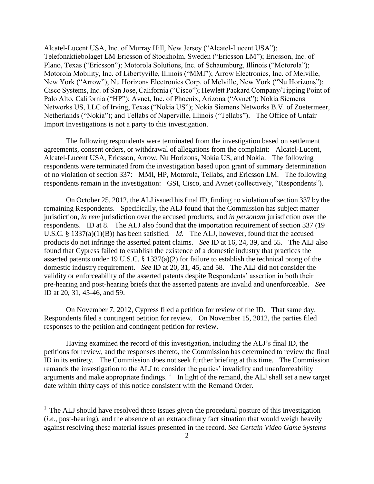Alcatel-Lucent USA, Inc. of Murray Hill, New Jersey ("Alcatel-Lucent USA"); Telefonaktiebolaget LM Ericsson of Stockholm, Sweden ("Ericsson LM"); Ericsson, Inc. of Plano, Texas ("Ericsson"); Motorola Solutions, Inc. of Schaumburg, Illinois ("Motorola"); Motorola Mobility, Inc. of Libertyville, Illinois ("MMI"); Arrow Electronics, Inc. of Melville, New York ("Arrow"); Nu Horizons Electronics Corp. of Melville, New York ("Nu Horizons"); Cisco Systems, Inc. of San Jose, California ("Cisco"); Hewlett Packard Company/Tipping Point of Palo Alto, California ("HP"); Avnet, Inc. of Phoenix, Arizona ("Avnet"); Nokia Siemens Networks US, LLC of Irving, Texas ("Nokia US"); Nokia Siemens Networks B.V. of Zoetermeer, Netherlands ("Nokia"); and Tellabs of Naperville, Illinois ("Tellabs"). The Office of Unfair Import Investigations is not a party to this investigation.

The following respondents were terminated from the investigation based on settlement agreements, consent orders, or withdrawal of allegations from the complaint: Alcatel-Lucent, Alcatel-Lucent USA, Ericsson, Arrow, Nu Horizons, Nokia US, and Nokia. The following respondents were terminated from the investigation based upon grant of summary determination of no violation of section 337: MMI, HP, Motorola, Tellabs, and Ericsson LM. The following respondents remain in the investigation: GSI, Cisco, and Avnet (collectively, "Respondents").

On October 25, 2012, the ALJ issued his final ID, finding no violation of section 337 by the remaining Respondents. Specifically, the ALJ found that the Commission has subject matter jurisdiction, *in rem* jurisdiction over the accused products, and *in personam* jurisdiction over the respondents. ID at 8. The ALJ also found that the importation requirement of section 337 (19 U.S.C. § 1337(a)(1)(B)) has been satisfied. *Id.* The ALJ, however, found that the accused products do not infringe the asserted patent claims. *See* ID at 16, 24, 39, and 55. The ALJ also found that Cypress failed to establish the existence of a domestic industry that practices the asserted patents under 19 U.S.C. § 1337(a)(2) for failure to establish the technical prong of the domestic industry requirement. *See* ID at 20, 31, 45, and 58. The ALJ did not consider the validity or enforceability of the asserted patents despite Respondents' assertion in both their pre-hearing and post-hearing briefs that the asserted patents are invalid and unenforceable. *See* ID at 20, 31, 45-46, and 59.

On November 7, 2012, Cypress filed a petition for review of the ID. That same day, Respondents filed a contingent petition for review. On November 15, 2012, the parties filed responses to the petition and contingent petition for review.

Having examined the record of this investigation, including the ALJ's final ID, the petitions for review, and the responses thereto, the Commission has determined to review the final ID in its entirety. The Commission does not seek further briefing at this time. The Commission remands the investigation to the ALJ to consider the parties' invalidity and unenforceability arguments and make appropriate findings.  $\frac{1}{1}$  In light of the remand, the ALJ shall set a new target date within thirty days of this notice consistent with the Remand Order.

 $\overline{a}$ 

 $<sup>1</sup>$  The ALJ should have resolved these issues given the procedural posture of this investigation</sup> (*i.e.*, post-hearing), and the absence of an extraordinary fact situation that would weigh heavily against resolving these material issues presented in the record. *See Certain Video Game Systems*